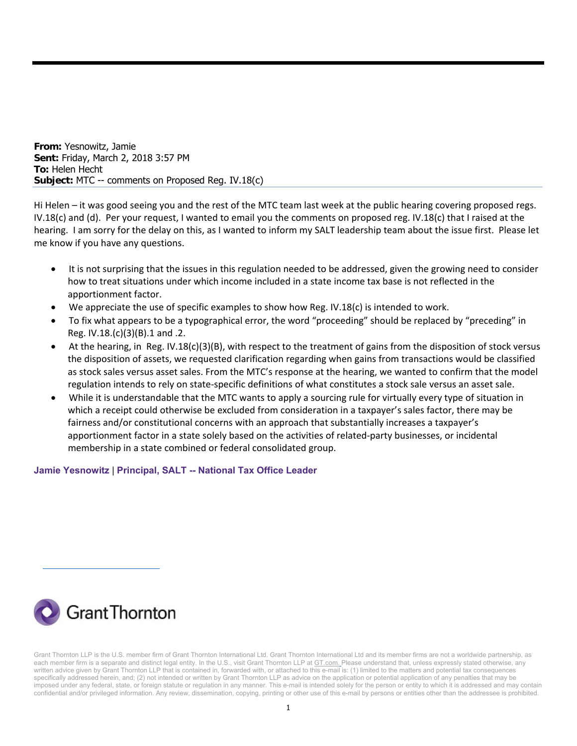**From:** Yesnowitz, Jamie **Sent:** Friday, March 2, 2018 3:57 PM **To:** Helen Hecht **Subject:** MTC -- comments on Proposed Reg. IV.18(c)

Hi Helen – it was good seeing you and the rest of the MTC team last week at the public hearing covering proposed regs. IV.18(c) and (d). Per your request, I wanted to email you the comments on proposed reg. IV.18(c) that I raised at the hearing. I am sorry for the delay on this, as I wanted to inform my SALT leadership team about the issue first. Please let me know if you have any questions.

- It is not surprising that the issues in this regulation needed to be addressed, given the growing need to consider how to treat situations under which income included in a state income tax base is not reflected in the apportionment factor.
- We appreciate the use of specific examples to show how Reg. IV.18(c) is intended to work.
- To fix what appears to be a typographical error, the word "proceeding" should be replaced by "preceding" in Reg. IV.18.(c)(3)(B).1 and .2.
- At the hearing, in Reg. IV.18(c)(3)(B), with respect to the treatment of gains from the disposition of stock versus the disposition of assets, we requested clarification regarding when gains from transactions would be classified as stock sales versus asset sales. From the MTC's response at the hearing, we wanted to confirm that the model regulation intends to rely on state‐specific definitions of what constitutes a stock sale versus an asset sale.
- While it is understandable that the MTC wants to apply a sourcing rule for virtually every type of situation in which a receipt could otherwise be excluded from consideration in a taxpayer's sales factor, there may be fairness and/or constitutional concerns with an approach that substantially increases a taxpayer's apportionment factor in a state solely based on the activities of related-party businesses, or incidental membership in a state combined or federal consolidated group.

**Jamie Yesnowitz** | **Principal, SALT -- National Tax Office Leader**



Grant Thornton LLP is the U.S. member firm of Grant Thornton International Ltd. Grant Thornton International Ltd and its member firms are not a worldwide partnership, as each member firm is a separate and distinct legal entity. In the U.S., visit Grant Thornton LLP at GT.com. Please understand that, unless expressly stated otherwise, any written advice given by Grant Thornton LLP that is contained in, forwarded with, or attached to this e-mail is: (1) limited to the matters and potential tax consequences specifically addressed herein, and; (2) not intended or written by Grant Thornton LLP as advice on the application or potential application of any penalties that may be imposed under any federal, state, or foreign statute or regulation in any manner. This e-mail is intended solely for the person or entity to which it is addressed and may contain confidential and/or privileged information. Any review, dissemination, copying, printing or other use of this e-mail by persons or entities other than the addressee is prohibited.